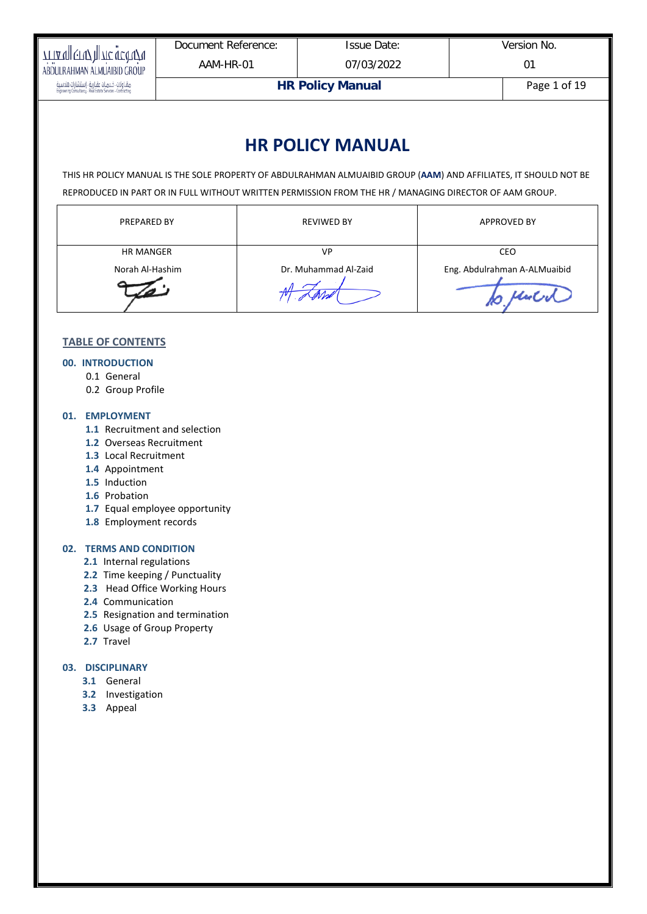| тталустуу прис честугу                                                                                   | Document Reference:     | <b>Issue Date:</b> | Version No.  |
|----------------------------------------------------------------------------------------------------------|-------------------------|--------------------|--------------|
| ABDULRAHMAN ALMUAIBID GROUP                                                                              | AAM-HR-01               | 07/03/2022         |              |
| مقاولات - خدمات عقارية - إستشارات هندسية<br>Engineering Consultancy - Real Estate Services - Contracting | <b>HR Policy Manual</b> |                    | Page 1 of 19 |

# **HR POLICY MANUAL**

THIS HR POLICY MANUAL IS THE SOLE PROPERTY OF ABDULRAHMAN ALMUAIBID GROUP (**AAM**) AND AFFILIATES, IT SHOULD NOT BE REPRODUCED IN PART OR IN FULL WITHOUT WRITTEN PERMISSION FROM THE HR / MANAGING DIRECTOR OF AAM GROUP.

| <b>PREPARED BY</b> | <b>REVIWED BY</b>    | <b>APPROVED BY</b>           |
|--------------------|----------------------|------------------------------|
| <b>HR MANGER</b>   | VP                   | CEO                          |
| Norah Al-Hashim    | Dr. Muhammad Al-Zaid | Eng. Abdulrahman A-ALMuaibid |
|                    |                      |                              |

# **TABLE OF CONTENTS**

#### **00. INTRODUCTION**

- 0.1 General
- 0.2 Group Profile

#### **01. EMPLOYMENT**

- **1.1** Recruitment and selection
- **1.2** Overseas Recruitment
- **1.3** Local Recruitment
- **1.4** Appointment
- **1.5** Induction
- **1.6** Probation
- **1.7** Equal employee opportunity
- **1.8** Employment records

# **02. TERMS AND CONDITION**

- **2.1** Internal regulations
- **2.2** Time keeping / Punctuality
- **2.3** Head Office Working Hours
- **2.4** Communication
- **2.5** Resignation and termination
- **2.6** Usage of Group Property
- **2.7** Travel

#### **03. DISCIPLINARY**

- **3.1** General
- **3.2** Investigation
- **3.3** Appeal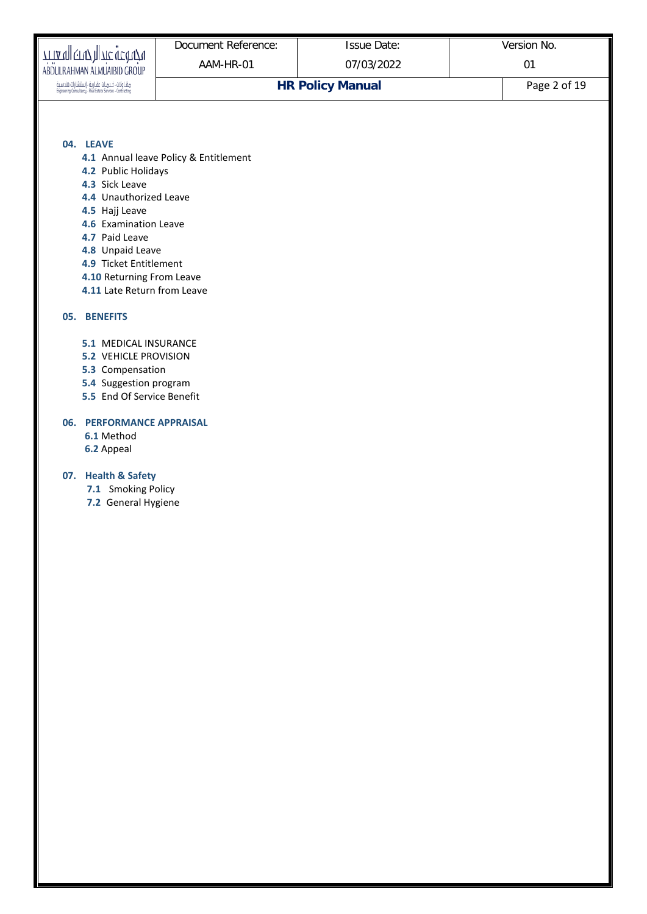|                                                                                                                                                                                                                                                     | Document Reference:                   | <b>Issue Date:</b>      | Version No.  |
|-----------------------------------------------------------------------------------------------------------------------------------------------------------------------------------------------------------------------------------------------------|---------------------------------------|-------------------------|--------------|
| مجموعة عبدالرحمك المعيبد<br>ABDULRAHMAN ALMUAIBID GROUP                                                                                                                                                                                             | AAM-HR-01                             | 07/03/2022              | 01           |
| مقاولات خدمات عقارية - إستشارات هندسية<br>Engineering Consultancy - Real Estate Services - Contracting                                                                                                                                              |                                       | <b>HR Policy Manual</b> | Page 2 of 19 |
|                                                                                                                                                                                                                                                     |                                       |                         |              |
| 04. LEAVE<br>4.2 Public Holidays<br>4.3 Sick Leave<br>4.4 Unauthorized Leave<br>4.5 Hajj Leave<br>4.6 Examination Leave<br>4.7 Paid Leave<br>4.8 Unpaid Leave<br>4.9 Ticket Entitlement<br>4.10 Returning From Leave<br>4.11 Late Return from Leave | 4.1 Annual leave Policy & Entitlement |                         |              |
| <b>05. BENEFITS</b>                                                                                                                                                                                                                                 |                                       |                         |              |
| 5.1 MEDICAL INSURANCE<br><b>5.2 VEHICLE PROVISION</b><br>5.3 Compensation<br>5.4 Suggestion program<br>5.5 End Of Service Benefit                                                                                                                   |                                       |                         |              |
| 06. PERFORMANCE APPRAISAL<br>6.1 Method<br>6.2 Appeal                                                                                                                                                                                               |                                       |                         |              |
| 07. Health & Safety<br>7.1 Smoking Policy<br>7.2 General Hygiene                                                                                                                                                                                    |                                       |                         |              |
|                                                                                                                                                                                                                                                     |                                       |                         |              |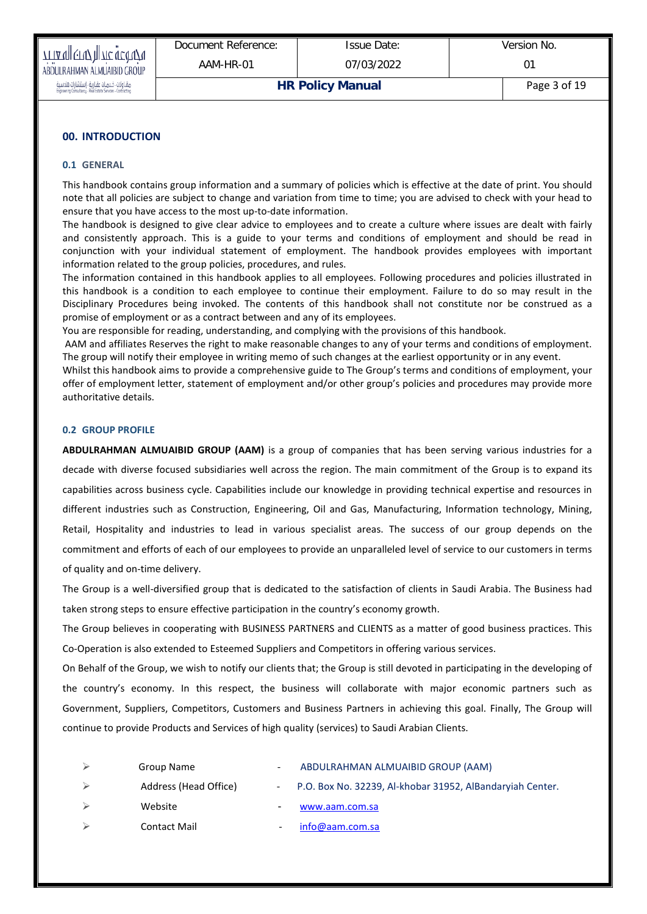| TTIA VII (TVT) IJI 71C UCOUZU                                                                            | Document Reference:     | <b>Issue Date:</b> | Version No. |
|----------------------------------------------------------------------------------------------------------|-------------------------|--------------------|-------------|
| ABDULRAHMAN ALMUAIBID GROUP                                                                              | AAM-HR-01               | 07/03/2022         |             |
| مقاولات ، خدمات عقارية ، إستشارات هندسية<br>Engineering Consultancy ، Real Estate Services - Contracting | <b>HR Policy Manual</b> | Page 3 of 19       |             |

# **00. INTRODUCTION**

#### **0.1 GENERAL**

This handbook contains group information and a summary of policies which is effective at the date of print. You should note that all policies are subject to change and variation from time to time; you are advised to check with your head to ensure that you have access to the most up-to-date information.

The handbook is designed to give clear advice to employees and to create a culture where issues are dealt with fairly and consistently approach. This is a guide to your terms and conditions of employment and should be read in conjunction with your individual statement of employment. The handbook provides employees with important information related to the group policies, procedures, and rules.

The information contained in this handbook applies to all employees. Following procedures and policies illustrated in this handbook is a condition to each employee to continue their employment. Failure to do so may result in the Disciplinary Procedures being invoked. The contents of this handbook shall not constitute nor be construed as a promise of employment or as a contract between and any of its employees.

You are responsible for reading, understanding, and complying with the provisions of this handbook.

AAM and affiliates Reserves the right to make reasonable changes to any of your terms and conditions of employment. The group will notify their employee in writing memo of such changes at the earliest opportunity or in any event.

Whilst this handbook aims to provide a comprehensive guide to The Group's terms and conditions of employment, your offer of employment letter, statement of employment and/or other group's policies and procedures may provide more authoritative details.

#### **0.2 GROUP PROFILE**

**ABDULRAHMAN ALMUAIBID GROUP (AAM)** is a group of companies that has been serving various industries for a decade with diverse focused subsidiaries well across the region. The main commitment of the Group is to expand its capabilities across business cycle. Capabilities include our knowledge in providing technical expertise and resources in different industries such as Construction, Engineering, Oil and Gas, Manufacturing, Information technology, Mining, Retail, Hospitality and industries to lead in various specialist areas. The success of our group depends on the commitment and efforts of each of our employees to provide an unparalleled level of service to our customers in terms of quality and on-time delivery.

The Group is a well-diversified group that is dedicated to the satisfaction of clients in Saudi Arabia. The Business had taken strong steps to ensure effective participation in the country's economy growth.

The Group believes in cooperating with BUSINESS PARTNERS and CLIENTS as a matter of good business practices. This Co-Operation is also extended to Esteemed Suppliers and Competitors in offering various services.

On Behalf of the Group, we wish to notify our clients that; the Group is still devoted in participating in the developing of the country's economy. In this respect, the business will collaborate with major economic partners such as Government, Suppliers, Competitors, Customers and Business Partners in achieving this goal. Finally, The Group will continue to provide Products and Services of high quality (services) to Saudi Arabian Clients.

| Group Name            |        | ABDULRAHMAN ALMUAIBID GROUP (AAM)                           |
|-----------------------|--------|-------------------------------------------------------------|
| Address (Head Office) |        | - P.O. Box No. 32239, Al-khobar 31952, AlBandaryiah Center. |
| Website               | $\sim$ | www.aam.com.sa                                              |
| <b>Contact Mail</b>   |        | info@aam.com.sa                                             |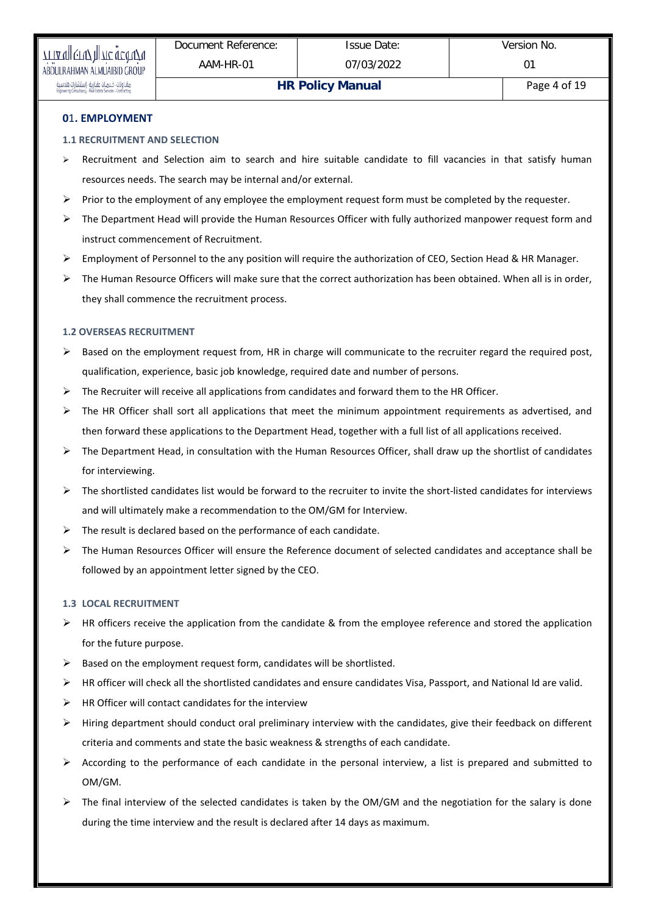# **1.1 RECRUITMENT AND SELECTION**

- $\triangleright$  Recruitment and Selection aim to search and hire suitable candidate to fill vacancies in that satisfy human resources needs. The search may be internal and/or external.
- $\triangleright$  Prior to the employment of any employee the employment request form must be completed by the requester.
- $\triangleright$  The Department Head will provide the Human Resources Officer with fully authorized manpower request form and instruct commencement of Recruitment.
- $\triangleright$  Employment of Personnel to the any position will require the authorization of CEO, Section Head & HR Manager.
- $\triangleright$  The Human Resource Officers will make sure that the correct authorization has been obtained. When all is in order, they shall commence the recruitment process.

# **1.2 OVERSEAS RECRUITMENT**

- $\triangleright$  Based on the employment request from, HR in charge will communicate to the recruiter regard the required post, qualification, experience, basic job knowledge, required date and number of persons.
- $\triangleright$  The Recruiter will receive all applications from candidates and forward them to the HR Officer.
- $\triangleright$  The HR Officer shall sort all applications that meet the minimum appointment requirements as advertised, and then forward these applications to the Department Head, together with a full list of all applications received.
- $\triangleright$  The Department Head, in consultation with the Human Resources Officer, shall draw up the shortlist of candidates for interviewing.
- $\triangleright$  The shortlisted candidates list would be forward to the recruiter to invite the short-listed candidates for interviews and will ultimately make a recommendation to the OM/GM for Interview.
- $\triangleright$  The result is declared based on the performance of each candidate.
- $\triangleright$  The Human Resources Officer will ensure the Reference document of selected candidates and acceptance shall be followed by an appointment letter signed by the CEO.

# **1.3 LOCAL RECRUITMENT**

- $\triangleright$  HR officers receive the application from the candidate & from the employee reference and stored the application for the future purpose.
- $\triangleright$  Based on the employment request form, candidates will be shortlisted.
- $\triangleright$  HR officer will check all the shortlisted candidates and ensure candidates Visa, Passport, and National Id are valid.
- $\triangleright$  HR Officer will contact candidates for the interview
- $\triangleright$  Hiring department should conduct oral preliminary interview with the candidates, give their feedback on different criteria and comments and state the basic weakness & strengths of each candidate.
- $\triangleright$  According to the performance of each candidate in the personal interview, a list is prepared and submitted to OM/GM.
- $\triangleright$  The final interview of the selected candidates is taken by the OM/GM and the negotiation for the salary is done during the time interview and the result is declared after 14 days as maximum.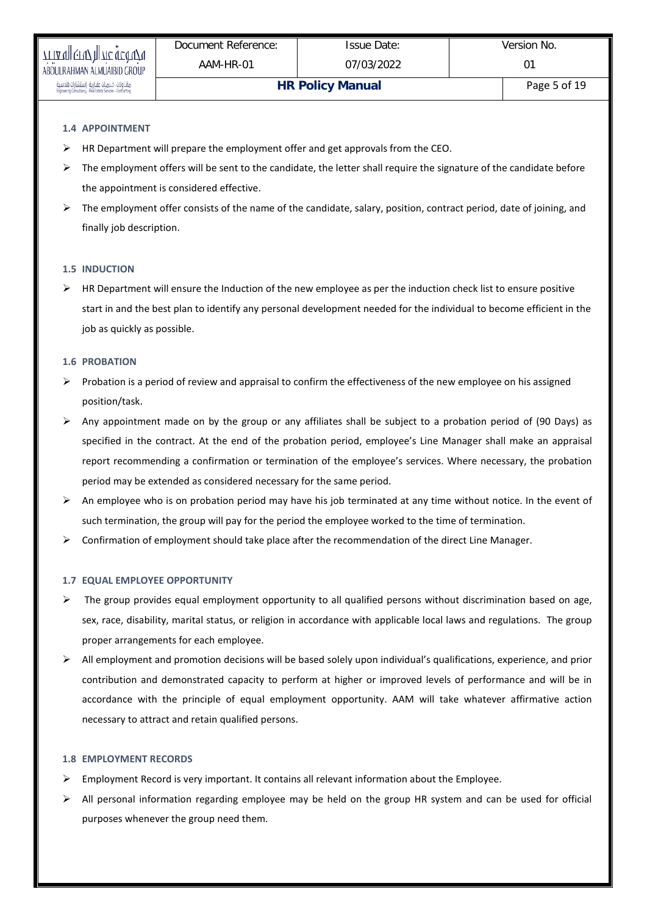# **1.4 APPOINTMENT**

- $\triangleright$  HR Department will prepare the employment offer and get approvals from the CEO.
- $\triangleright$  The employment offers will be sent to the candidate, the letter shall require the signature of the candidate before the appointment is considered effective.
- > The employment offer consists of the name of the candidate, salary, position, contract period, date of joining, and finally job description.

#### **1.5 INDUCTION**

 $\triangleright$  HR Department will ensure the Induction of the new employee as per the induction check list to ensure positive start in and the best plan to identify any personal development needed for the individual to become efficient in the job as quickly as possible.

#### **1.6 PROBATION**

- $\triangleright$  Probation is a period of review and appraisal to confirm the effectiveness of the new employee on his assigned position/task.
- Any appointment made on by the group or any affiliates shall be subject to a probation period of (90 Days) as specified in the contract. At the end of the probation period, employee's Line Manager shall make an appraisal report recommending a confirmation or termination of the employee's services. Where necessary, the probation period may be extended as considered necessary for the same period.
- $\triangleright$  An employee who is on probation period may have his job terminated at any time without notice. In the event of such termination, the group will pay for the period the employee worked to the time of termination.
- $\triangleright$  Confirmation of employment should take place after the recommendation of the direct Line Manager.

#### **1.7 EQUAL EMPLOYEE OPPORTUNITY**

- $\triangleright$  The group provides equal employment opportunity to all qualified persons without discrimination based on age, sex, race, disability, marital status, or religion in accordance with applicable local laws and regulations. The group proper arrangements for each employee.
- $\triangleright$  All employment and promotion decisions will be based solely upon individual's qualifications, experience, and prior contribution and demonstrated capacity to perform at higher or improved levels of performance and will be in accordance with the principle of equal employment opportunity. AAM will take whatever affirmative action necessary to attract and retain qualified persons.

#### **1.8 EMPLOYMENT RECORDS**

- $\triangleright$  Employment Record is very important. It contains all relevant information about the Employee.
- $\triangleright$  All personal information regarding employee may be held on the group HR system and can be used for official purposes whenever the group need them.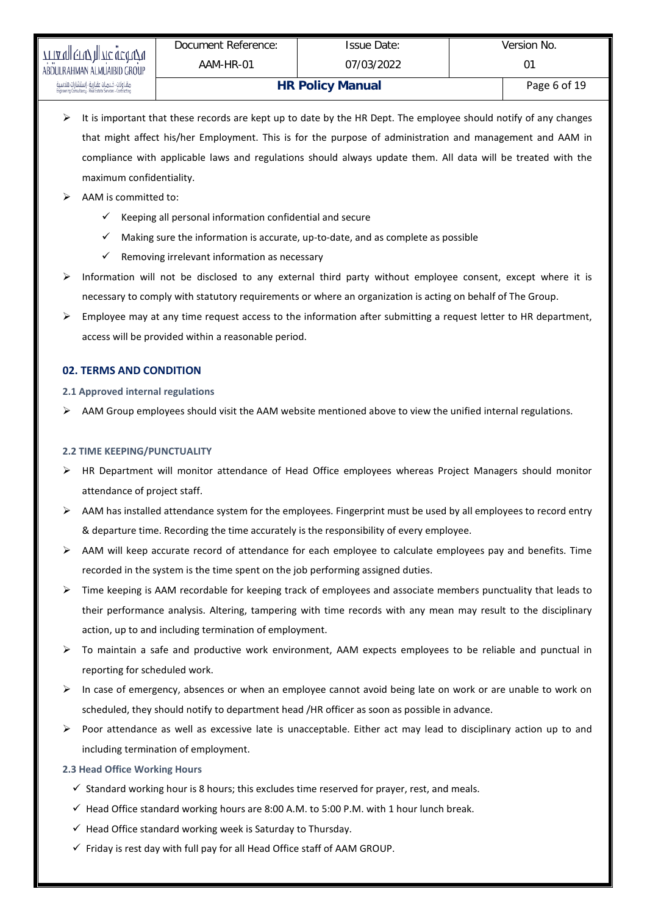- $\triangleright$  It is important that these records are kept up to date by the HR Dept. The employee should notify of any changes that might affect his/her Employment. This is for the purpose of administration and management and AAM in compliance with applicable laws and regulations should always update them. All data will be treated with the maximum confidentiality.
- $\triangleright$  AAM is committed to:
	- $\checkmark$  Keeping all personal information confidential and secure
	- $\checkmark$  Making sure the information is accurate, up-to-date, and as complete as possible
	- $\checkmark$  Removing irrelevant information as necessary
- $\triangleright$  Information will not be disclosed to any external third party without employee consent, except where it is necessary to comply with statutory requirements or where an organization is acting on behalf of The Group.
- $\triangleright$  Employee may at any time request access to the information after submitting a request letter to HR department, access will be provided within a reasonable period.

# **02. TERMS AND CONDITION**

# **2.1 Approved internal regulations**

 $\triangleright$  AAM Group employees should visit the AAM website mentioned above to view the unified internal regulations.

#### **2.2 TIME KEEPING/PUNCTUALITY**

- $\triangleright$  HR Department will monitor attendance of Head Office employees whereas Project Managers should monitor attendance of project staff.
- $\triangleright$  AAM has installed attendance system for the employees. Fingerprint must be used by all employees to record entry & departure time. Recording the time accurately is the responsibility of every employee.
- $\triangleright$  AAM will keep accurate record of attendance for each employee to calculate employees pay and benefits. Time recorded in the system is the time spent on the job performing assigned duties.
- $\triangleright$  Time keeping is AAM recordable for keeping track of employees and associate members punctuality that leads to their performance analysis. Altering, tampering with time records with any mean may result to the disciplinary action, up to and including termination of employment.
- To maintain a safe and productive work environment, AAM expects employees to be reliable and punctual in reporting for scheduled work.
- $\triangleright$  In case of emergency, absences or when an employee cannot avoid being late on work or are unable to work on scheduled, they should notify to department head /HR officer as soon as possible in advance.
- Poor attendance as well as excessive late is unacceptable. Either act may lead to disciplinary action up to and including termination of employment.

# **2.3 Head Office Working Hours**

- $\checkmark$  Standard working hour is 8 hours; this excludes time reserved for prayer, rest, and meals.
- $\checkmark$  Head Office standard working hours are 8:00 A.M. to 5:00 P.M. with 1 hour lunch break.
- $\checkmark$  Head Office standard working week is Saturday to Thursday.
- $\checkmark$  Friday is rest day with full pay for all Head Office staff of AAM GROUP.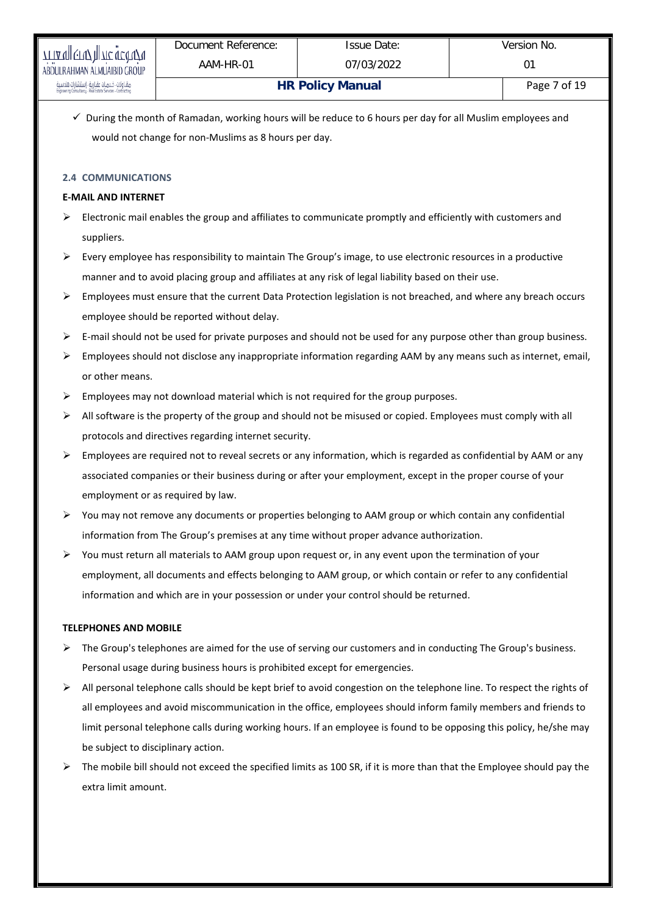$\checkmark$  During the month of Ramadan, working hours will be reduce to 6 hours per day for all Muslim employees and would not change for non-Muslims as 8 hours per day.

# **2.4 COMMUNICATIONS**

# **E-MAIL AND INTERNET**

- $\triangleright$  Electronic mail enables the group and affiliates to communicate promptly and efficiently with customers and suppliers.
- $\triangleright$  Every employee has responsibility to maintain The Group's image, to use electronic resources in a productive manner and to avoid placing group and affiliates at any risk of legal liability based on their use.
- $\triangleright$  Employees must ensure that the current Data Protection legislation is not breached, and where any breach occurs employee should be reported without delay.
- $\triangleright$  E-mail should not be used for private purposes and should not be used for any purpose other than group business.
- $\triangleright$  Employees should not disclose any inappropriate information regarding AAM by any means such as internet, email, or other means.
- $\triangleright$  Employees may not download material which is not required for the group purposes.
- $\triangleright$  All software is the property of the group and should not be misused or copied. Employees must comply with all protocols and directives regarding internet security.
- Employees are required not to reveal secrets or any information, which is regarded as confidential by AAM or any associated companies or their business during or after your employment, except in the proper course of your employment or as required by law.
- You may not remove any documents or properties belonging to AAM group or which contain any confidential information from The Group's premises at any time without proper advance authorization.
- $\triangleright$  You must return all materials to AAM group upon request or, in any event upon the termination of your employment, all documents and effects belonging to AAM group, or which contain or refer to any confidential information and which are in your possession or under your control should be returned.

# **TELEPHONES AND MOBILE**

- $\triangleright$  The Group's telephones are aimed for the use of serving our customers and in conducting The Group's business. Personal usage during business hours is prohibited except for emergencies.
- $\triangleright$  All personal telephone calls should be kept brief to avoid congestion on the telephone line. To respect the rights of all employees and avoid miscommunication in the office, employees should inform family members and friends to limit personal telephone calls during working hours. If an employee is found to be opposing this policy, he/she may be subject to disciplinary action.
- $\triangleright$  The mobile bill should not exceed the specified limits as 100 SR, if it is more than that the Employee should pay the extra limit amount.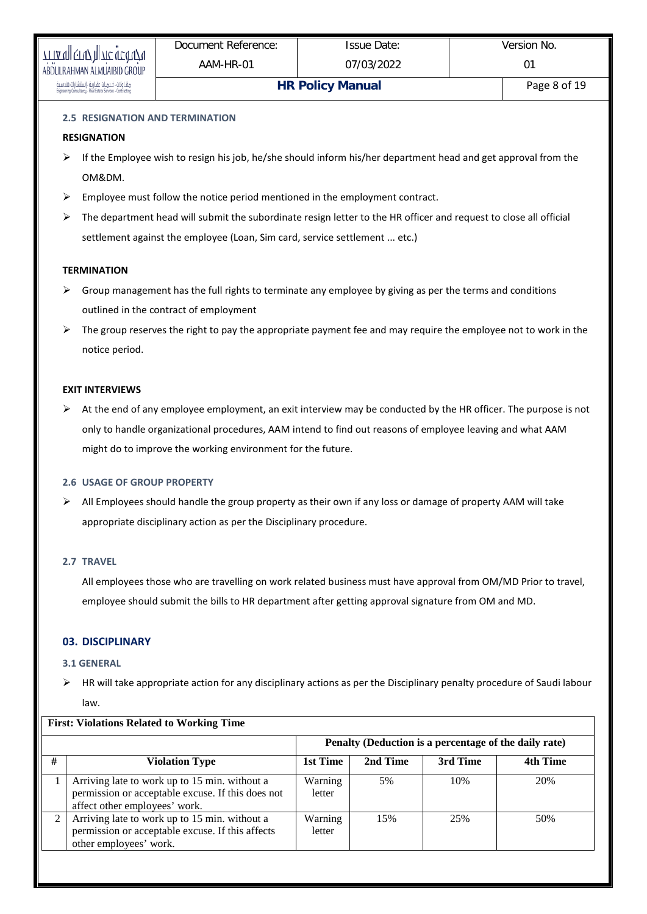# **2.5 RESIGNATION AND TERMINATION**

# **RESIGNATION**

- $\triangleright$  If the Employee wish to resign his job, he/she should inform his/her department head and get approval from the OM&DM.
- $\triangleright$  Employee must follow the notice period mentioned in the employment contract.
- $\triangleright$  The department head will submit the subordinate resign letter to the HR officer and request to close all official settlement against the employee (Loan, Sim card, service settlement ... etc.)

# **TERMINATION**

- $\triangleright$  Group management has the full rights to terminate any employee by giving as per the terms and conditions outlined in the contract of employment
- $\triangleright$  The group reserves the right to pay the appropriate payment fee and may require the employee not to work in the notice period.

# **EXIT INTERVIEWS**

At the end of any employee employment, an exit interview may be conducted by the HR officer. The purpose is not only to handle organizational procedures, AAM intend to find out reasons of employee leaving and what AAM might do to improve the working environment for the future.

# **2.6 USAGE OF GROUP PROPERTY**

 $\triangleright$  All Employees should handle the group property as their own if any loss or damage of property AAM will take appropriate disciplinary action as per the Disciplinary procedure.

# **2.7 TRAVEL**

All employees those who are travelling on work related business must have approval from OM/MD Prior to travel, employee should submit the bills to HR department after getting approval signature from OM and MD.

# **03. DISCIPLINARY**

# **3.1 GENERAL**

 $\triangleright$  HR will take appropriate action for any disciplinary actions as per the Disciplinary penalty procedure of Saudi labour law.

|                |                                                                                                                                     |                   |          | Penalty (Deduction is a percentage of the daily rate) |          |
|----------------|-------------------------------------------------------------------------------------------------------------------------------------|-------------------|----------|-------------------------------------------------------|----------|
| #              | <b>Violation Type</b>                                                                                                               | 1st Time          | 2nd Time | 3rd Time                                              | 4th Time |
|                | Arriving late to work up to 15 min. without a<br>permission or acceptable excuse. If this does not<br>affect other employees' work. | Warning<br>letter | 5%       | 10%                                                   | 20%      |
| $\mathfrak{D}$ | Arriving late to work up to 15 min. without a<br>permission or acceptable excuse. If this affects<br>other employees' work.         | Warning<br>letter | 15%      | 25%                                                   | 50%      |

# **First: Violations Related to Working Time**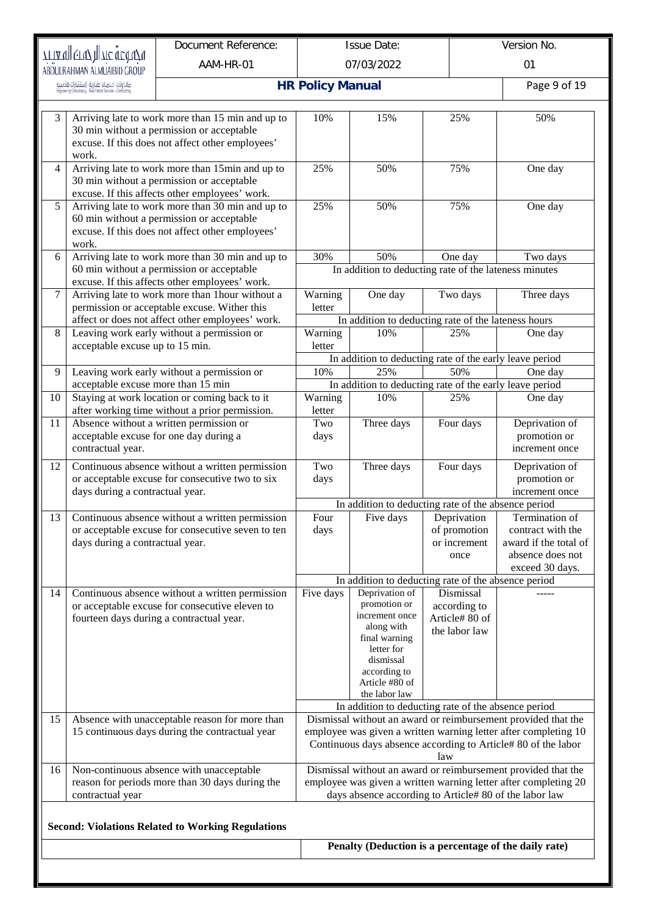|    | Version No.<br>Document Reference:<br><b>Issue Date:</b><br>مجموعة عبدالرحمت المعيبد                          |                                                                                                                                                    |                         |                                                                                                                                                               |                                                                                                                           |                                                                                                                                                                                                   |  |
|----|---------------------------------------------------------------------------------------------------------------|----------------------------------------------------------------------------------------------------------------------------------------------------|-------------------------|---------------------------------------------------------------------------------------------------------------------------------------------------------------|---------------------------------------------------------------------------------------------------------------------------|---------------------------------------------------------------------------------------------------------------------------------------------------------------------------------------------------|--|
|    | ABDULRAHMAN ALMUAIBID GROUP                                                                                   | AAM-HR-01                                                                                                                                          |                         | 07/03/2022                                                                                                                                                    | 01                                                                                                                        |                                                                                                                                                                                                   |  |
|    | مقـاولَات ، خـدمـات عقـاريـة ، إستشارات هندسية<br>Enginering Consultancy ، Real Estate Services ، Contracting |                                                                                                                                                    | <b>HR Policy Manual</b> |                                                                                                                                                               |                                                                                                                           | Page 9 of 19                                                                                                                                                                                      |  |
| 3  | work.                                                                                                         | Arriving late to work more than 15 min and up to<br>30 min without a permission or acceptable<br>excuse. If this does not affect other employees'  | 10%                     | 15%                                                                                                                                                           | 25%                                                                                                                       | 50%                                                                                                                                                                                               |  |
| 4  |                                                                                                               | Arriving late to work more than 15min and up to<br>30 min without a permission or acceptable<br>excuse. If this affects other employees' work.     | 25%                     | 50%                                                                                                                                                           | 75%                                                                                                                       | One day                                                                                                                                                                                           |  |
| 5  | work.                                                                                                         | Arriving late to work more than 30 min and up to<br>60 min without a permission or acceptable<br>excuse. If this does not affect other employees'  | 25%                     | 50%                                                                                                                                                           | 75%                                                                                                                       | One day                                                                                                                                                                                           |  |
| 6  |                                                                                                               | Arriving late to work more than 30 min and up to<br>60 min without a permission or acceptable                                                      | 30%                     | 50%                                                                                                                                                           | One day<br>In addition to deducting rate of the lateness minutes                                                          | Two days                                                                                                                                                                                          |  |
| 7  |                                                                                                               | excuse. If this affects other employees' work.<br>Arriving late to work more than 1 hour without a<br>permission or acceptable excuse. Wither this | Warning<br>letter       | One day                                                                                                                                                       | Two days                                                                                                                  | Three days                                                                                                                                                                                        |  |
| 8  | acceptable excuse up to 15 min.                                                                               | affect or does not affect other employees' work.<br>Leaving work early without a permission or                                                     | Warning<br>letter       | 10%                                                                                                                                                           | In addition to deducting rate of the lateness hours<br>25%                                                                | One day                                                                                                                                                                                           |  |
| 9  | acceptable excuse more than 15 min                                                                            | Leaving work early without a permission or                                                                                                         | 10%                     | 25%                                                                                                                                                           | In addition to deducting rate of the early leave period<br>50%<br>In addition to deducting rate of the early leave period | One day                                                                                                                                                                                           |  |
| 10 |                                                                                                               | Staying at work location or coming back to it<br>after working time without a prior permission.                                                    | Warning<br>letter       | 10%                                                                                                                                                           | 25%                                                                                                                       | One day                                                                                                                                                                                           |  |
| 11 | contractual year.                                                                                             | Absence without a written permission or<br>acceptable excuse for one day during a                                                                  | Two<br>days             | Three days                                                                                                                                                    | Four days                                                                                                                 | Deprivation of<br>promotion or<br>increment once                                                                                                                                                  |  |
| 12 | days during a contractual year.                                                                               | Continuous absence without a written permission<br>or acceptable excuse for consecutive two to six                                                 | Two<br>days             | Three days                                                                                                                                                    | Four days                                                                                                                 | Deprivation of<br>promotion or<br>increment once                                                                                                                                                  |  |
|    |                                                                                                               |                                                                                                                                                    |                         |                                                                                                                                                               | In addition to deducting rate of the absence period                                                                       |                                                                                                                                                                                                   |  |
| 13 | days during a contractual year.                                                                               | Continuous absence without a written permission<br>or acceptable excuse for consecutive seven to ten                                               | Four<br>days            | Five days                                                                                                                                                     | Deprivation<br>of promotion<br>or increment<br>once<br>In addition to deducting rate of the absence period                | Termination of<br>contract with the<br>award if the total of<br>absence does not<br>exceed 30 days.                                                                                               |  |
| 14 |                                                                                                               | Continuous absence without a written permission<br>or acceptable excuse for consecutive eleven to<br>fourteen days during a contractual year.      | Five days               | Deprivation of<br>promotion or<br>increment once<br>along with<br>final warning<br>letter for<br>dismissal<br>according to<br>Article #80 of<br>the labor law | Dismissal<br>according to<br>Article# 80 of<br>the labor law                                                              |                                                                                                                                                                                                   |  |
| 15 |                                                                                                               | Absence with unacceptable reason for more than<br>15 continuous days during the contractual year                                                   |                         |                                                                                                                                                               | In addition to deducting rate of the absence period<br>law                                                                | Dismissal without an award or reimbursement provided that the<br>employee was given a written warning letter after completing 10<br>Continuous days absence according to Article# 80 of the labor |  |
| 16 | contractual year                                                                                              | Non-continuous absence with unacceptable<br>reason for periods more than 30 days during the                                                        |                         |                                                                                                                                                               | days absence according to Article# 80 of the labor law                                                                    | Dismissal without an award or reimbursement provided that the<br>employee was given a written warning letter after completing 20                                                                  |  |
|    |                                                                                                               | <b>Second: Violations Related to Working Regulations</b>                                                                                           |                         |                                                                                                                                                               |                                                                                                                           |                                                                                                                                                                                                   |  |
|    |                                                                                                               |                                                                                                                                                    |                         |                                                                                                                                                               | Penalty (Deduction is a percentage of the daily rate)                                                                     |                                                                                                                                                                                                   |  |
|    |                                                                                                               |                                                                                                                                                    |                         |                                                                                                                                                               |                                                                                                                           |                                                                                                                                                                                                   |  |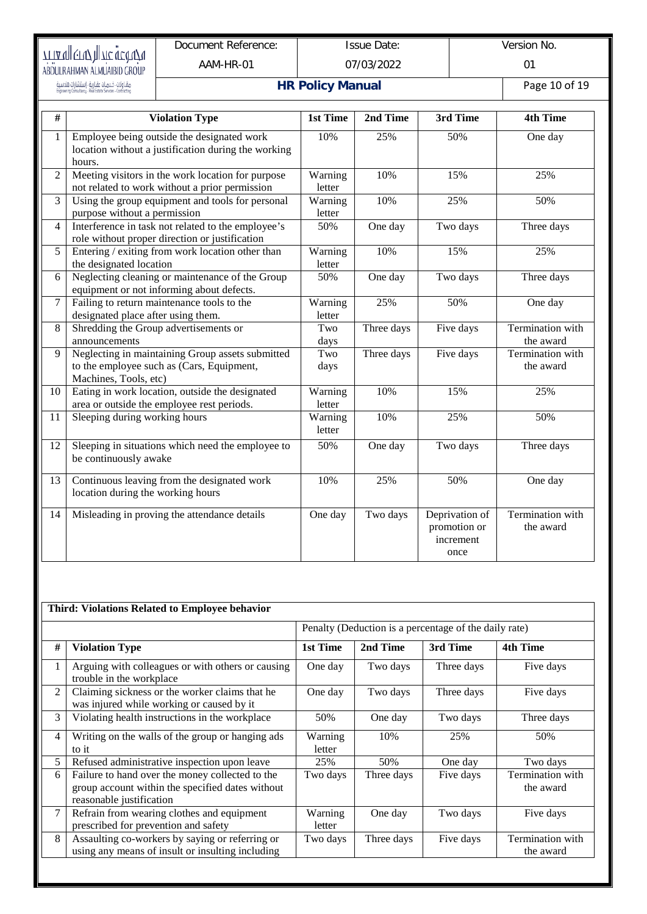# рази (старительно скопе)<br>Предлагает скопе<br>Аврисканмал атминать скопе

Document Reference: AAM-HR-01

Issue Date: 07/03/2022 Version No.

01

.<br>مقاولات - خدمـات عقـارية - إستشارات هندسية<br>Engineering Consultancy - Real Estate Services - Contracting

# **HR Policy Manual** Page 10 of 19

| #              | <b>Violation Type</b>                                                                                                  | 1st Time          | 2nd Time   | 3rd Time                                            | <b>4th Time</b>               |
|----------------|------------------------------------------------------------------------------------------------------------------------|-------------------|------------|-----------------------------------------------------|-------------------------------|
| 1              | Employee being outside the designated work<br>location without a justification during the working<br>hours.            | 10%               | 25%        | 50%                                                 | One day                       |
| $\overline{2}$ | Meeting visitors in the work location for purpose<br>not related to work without a prior permission                    | Warning<br>letter | 10%        | 15%                                                 | 25%                           |
| 3              | Using the group equipment and tools for personal<br>purpose without a permission                                       | Warning<br>letter | 10%        | 25%                                                 | 50%                           |
| 4              | Interference in task not related to the employee's<br>role without proper direction or justification                   | 50%               | One day    | Two days                                            | Three days                    |
| 5              | Entering / exiting from work location other than<br>the designated location                                            | Warning<br>letter | 10%        | 15%                                                 | 25%                           |
| 6              | Neglecting cleaning or maintenance of the Group<br>equipment or not informing about defects.                           | 50%               | One day    | Two days                                            | Three days                    |
| 7              | Failing to return maintenance tools to the<br>designated place after using them.                                       | Warning<br>letter | 25%        | 50%                                                 | One day                       |
| 8              | Shredding the Group advertisements or<br>announcements                                                                 | Two<br>days       | Three days | Five days                                           | Termination with<br>the award |
| $\mathbf Q$    | Neglecting in maintaining Group assets submitted<br>to the employee such as (Cars, Equipment,<br>Machines, Tools, etc) | Two<br>days       | Three days | Five days                                           | Termination with<br>the award |
| 10             | Eating in work location, outside the designated<br>area or outside the employee rest periods.                          | Warning<br>letter | 10%        | 15%                                                 | 25%                           |
| 11             | Sleeping during working hours                                                                                          | Warning<br>letter | 10%        | 25%                                                 | 50%                           |
| 12             | Sleeping in situations which need the employee to<br>be continuously awake                                             | 50%               | One day    | Two days                                            | Three days                    |
| 13             | Continuous leaving from the designated work<br>location during the working hours                                       | 10%               | 25%        | 50%                                                 | One day                       |
| 14             | Misleading in proving the attendance details                                                                           | One day           | Two days   | Deprivation of<br>promotion or<br>increment<br>once | Termination with<br>the award |

|                | Third: Violations Related to Employee behavior                                                                                  |                   |            |                                                       |                               |
|----------------|---------------------------------------------------------------------------------------------------------------------------------|-------------------|------------|-------------------------------------------------------|-------------------------------|
|                |                                                                                                                                 |                   |            | Penalty (Deduction is a percentage of the daily rate) |                               |
| #              | <b>Violation Type</b>                                                                                                           | 1st Time          | 2nd Time   | 3rd Time                                              | 4th Time                      |
| 1              | Arguing with colleagues or with others or causing<br>trouble in the workplace                                                   | One day           | Two days   | Three days                                            | Five days                     |
| 2              | Claiming sickness or the worker claims that he<br>was injured while working or caused by it                                     | One day           | Two days   | Three days                                            | Five days                     |
| 3              | Violating health instructions in the workplace                                                                                  | 50%               | One day    | Two days                                              | Three days                    |
| $\overline{4}$ | Writing on the walls of the group or hanging ads<br>to it                                                                       | Warning<br>letter | 10%        | 25%                                                   | 50%                           |
| 5              | Refused administrative inspection upon leave                                                                                    | 25%               | 50%        | One day                                               | Two days                      |
| 6              | Failure to hand over the money collected to the<br>group account within the specified dates without<br>reasonable justification | Two days          | Three days | Five days                                             | Termination with<br>the award |
| $\tau$         | Refrain from wearing clothes and equipment<br>prescribed for prevention and safety                                              | Warning<br>letter | One day    | Two days                                              | Five days                     |
| 8              | Assaulting co-workers by saying or referring or<br>using any means of insult or insulting including                             | Two days          | Three days | Five days                                             | Termination with<br>the award |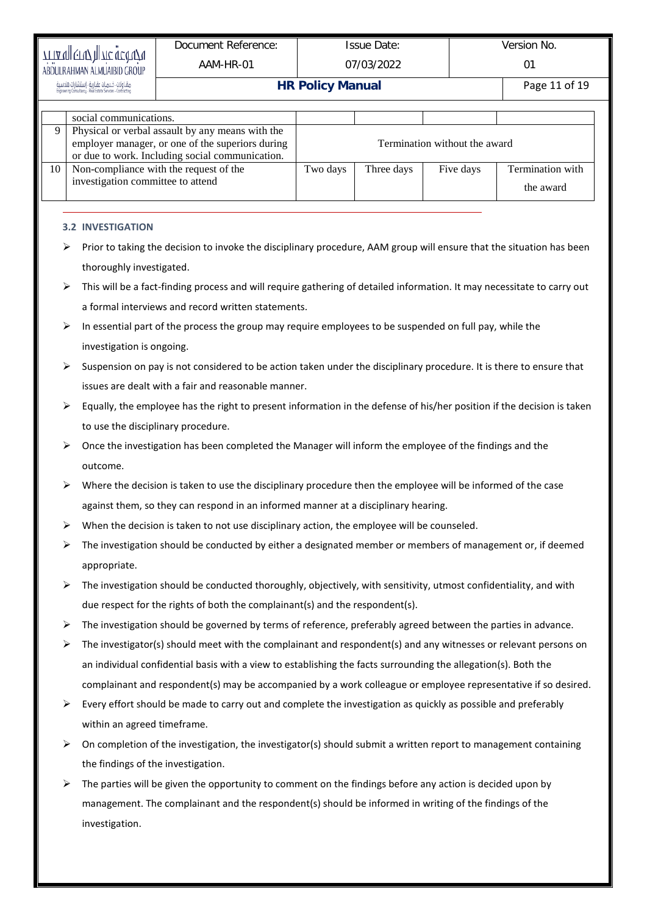|                                                           |                                                                                                                        | Document Reference:                                                                                                     |                         | <b>Issue Date:</b> |                               | Version No.      |  |
|-----------------------------------------------------------|------------------------------------------------------------------------------------------------------------------------|-------------------------------------------------------------------------------------------------------------------------|-------------------------|--------------------|-------------------------------|------------------|--|
| ידובשן פדעל חן דגב עכינדעט<br>ABDULRAHMAN ALMUAIBID GROUP |                                                                                                                        | AAM-HR-01                                                                                                               |                         | 07/03/2022         |                               | 01               |  |
|                                                           |                                                                                                                        |                                                                                                                         | <b>HR Policy Manual</b> |                    |                               | Page 11 of 19    |  |
|                                                           | social communications.                                                                                                 |                                                                                                                         |                         |                    |                               |                  |  |
| 9                                                         |                                                                                                                        | Physical or verbal assault by any means with the                                                                        |                         |                    |                               |                  |  |
|                                                           |                                                                                                                        | employer manager, or one of the superiors during<br>or due to work. Including social communication.                     |                         |                    | Termination without the award |                  |  |
| 10                                                        |                                                                                                                        | Non-compliance with the request of the                                                                                  | Two days                | Three days         | Five days                     | Termination with |  |
|                                                           |                                                                                                                        | investigation committee to attend                                                                                       |                         |                    |                               | the award        |  |
|                                                           |                                                                                                                        |                                                                                                                         |                         |                    |                               |                  |  |
|                                                           | <b>3.2 INVESTIGATION</b>                                                                                               |                                                                                                                         |                         |                    |                               |                  |  |
|                                                           |                                                                                                                        | Prior to taking the decision to invoke the disciplinary procedure, AAM group will ensure that the situation has been    |                         |                    |                               |                  |  |
|                                                           | thoroughly investigated.                                                                                               |                                                                                                                         |                         |                    |                               |                  |  |
| ⋗                                                         |                                                                                                                        | This will be a fact-finding process and will require gathering of detailed information. It may necessitate to carry out |                         |                    |                               |                  |  |
|                                                           | a formal interviews and record written statements.                                                                     |                                                                                                                         |                         |                    |                               |                  |  |
| ⋗                                                         |                                                                                                                        | In essential part of the process the group may require employees to be suspended on full pay, while the                 |                         |                    |                               |                  |  |
|                                                           | investigation is ongoing.                                                                                              |                                                                                                                         |                         |                    |                               |                  |  |
|                                                           | Suspension on pay is not considered to be action taken under the disciplinary procedure. It is there to ensure that    |                                                                                                                         |                         |                    |                               |                  |  |
|                                                           | issues are dealt with a fair and reasonable manner.                                                                    |                                                                                                                         |                         |                    |                               |                  |  |
| ⋗                                                         | Equally, the employee has the right to present information in the defense of his/her position if the decision is taken |                                                                                                                         |                         |                    |                               |                  |  |
|                                                           | to use the disciplinary procedure.                                                                                     |                                                                                                                         |                         |                    |                               |                  |  |
| ⋗                                                         | Once the investigation has been completed the Manager will inform the employee of the findings and the                 |                                                                                                                         |                         |                    |                               |                  |  |
| outcome.                                                  |                                                                                                                        |                                                                                                                         |                         |                    |                               |                  |  |
| ⋗                                                         |                                                                                                                        | Where the decision is taken to use the disciplinary procedure then the employee will be informed of the case            |                         |                    |                               |                  |  |
|                                                           |                                                                                                                        | against them, so they can respond in an informed manner at a disciplinary hearing.                                      |                         |                    |                               |                  |  |
| ⋗                                                         |                                                                                                                        | When the decision is taken to not use disciplinary action, the employee will be counseled.                              |                         |                    |                               |                  |  |
|                                                           |                                                                                                                        | The investigation should be conducted by either a designated member or members of management or, if deemed              |                         |                    |                               |                  |  |
|                                                           | appropriate.                                                                                                           |                                                                                                                         |                         |                    |                               |                  |  |
| ➤                                                         |                                                                                                                        | The investigation should be conducted thoroughly, objectively, with sensitivity, utmost confidentiality, and with       |                         |                    |                               |                  |  |
|                                                           |                                                                                                                        | due respect for the rights of both the complainant(s) and the respondent(s).                                            |                         |                    |                               |                  |  |
| ➤                                                         |                                                                                                                        | The investigation should be governed by terms of reference, preferably agreed between the parties in advance.           |                         |                    |                               |                  |  |
| ➤                                                         |                                                                                                                        | The investigator(s) should meet with the complainant and respondent(s) and any witnesses or relevant persons on         |                         |                    |                               |                  |  |
|                                                           |                                                                                                                        | an individual confidential basis with a view to establishing the facts surrounding the allegation(s). Both the          |                         |                    |                               |                  |  |
|                                                           |                                                                                                                        | complainant and respondent(s) may be accompanied by a work colleague or employee representative if so desired.          |                         |                    |                               |                  |  |
| ➤                                                         |                                                                                                                        | Every effort should be made to carry out and complete the investigation as quickly as possible and preferably           |                         |                    |                               |                  |  |
|                                                           |                                                                                                                        | within an agreed timeframe.                                                                                             |                         |                    |                               |                  |  |
| ➤                                                         |                                                                                                                        | On completion of the investigation, the investigator(s) should submit a written report to management containing         |                         |                    |                               |                  |  |
|                                                           |                                                                                                                        | the findings of the investigation.                                                                                      |                         |                    |                               |                  |  |
| ⋗                                                         |                                                                                                                        | The parties will be given the opportunity to comment on the findings before any action is decided upon by               |                         |                    |                               |                  |  |
|                                                           |                                                                                                                        | management. The complainant and the respondent(s) should be informed in writing of the findings of the                  |                         |                    |                               |                  |  |
|                                                           | investigation.                                                                                                         |                                                                                                                         |                         |                    |                               |                  |  |
|                                                           |                                                                                                                        |                                                                                                                         |                         |                    |                               |                  |  |
|                                                           |                                                                                                                        |                                                                                                                         |                         |                    |                               |                  |  |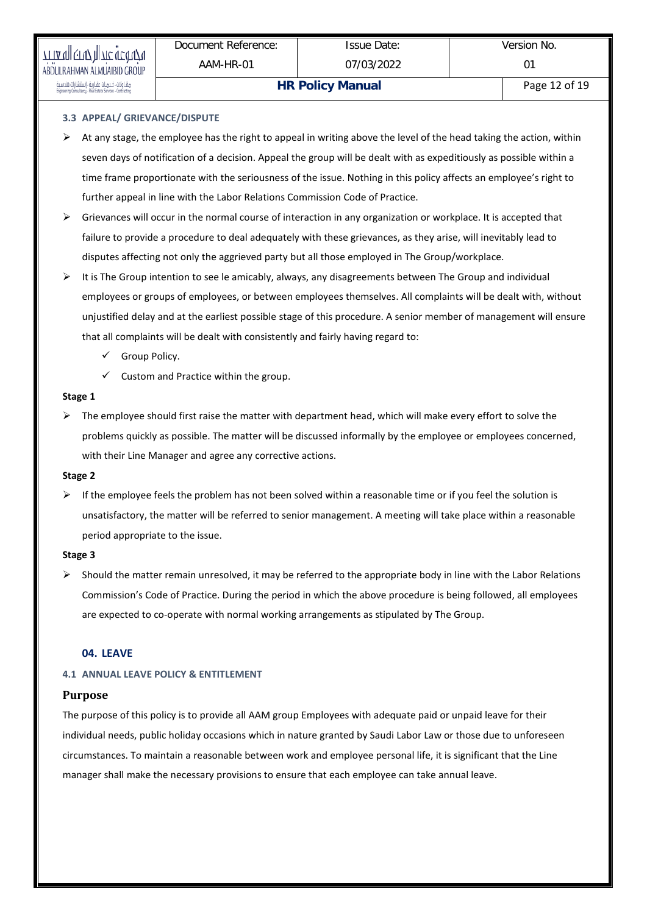.<br>مقـاولات خـدمـات عقـارية - إستشارات هندس

# **3.3 APPEAL/ GRIEVANCE/DISPUTE**

- $\triangleright$  At any stage, the employee has the right to appeal in writing above the level of the head taking the action, within seven days of notification of a decision. Appeal the group will be dealt with as expeditiously as possible within a time frame proportionate with the seriousness of the issue. Nothing in this policy affects an employee's right to further appeal in line with the Labor Relations Commission Code of Practice.
- $\triangleright$  Grievances will occur in the normal course of interaction in any organization or workplace. It is accepted that failure to provide a procedure to deal adequately with these grievances, as they arise, will inevitably lead to disputes affecting not only the aggrieved party but all those employed in The Group/workplace.
- $\triangleright$  It is The Group intention to see le amicably, always, any disagreements between The Group and individual employees or groups of employees, or between employees themselves. All complaints will be dealt with, without unjustified delay and at the earliest possible stage of this procedure. A senior member of management will ensure that all complaints will be dealt with consistently and fairly having regard to:
	- $\checkmark$  Group Policy.
	- $\checkmark$  Custom and Practice within the group.

#### **Stage 1**

 $\triangleright$  The employee should first raise the matter with department head, which will make every effort to solve the problems quickly as possible. The matter will be discussed informally by the employee or employees concerned, with their Line Manager and agree any corrective actions.

# **Stage 2**

 $\triangleright$  If the employee feels the problem has not been solved within a reasonable time or if you feel the solution is unsatisfactory, the matter will be referred to senior management. A meeting will take place within a reasonable period appropriate to the issue.

# **Stage 3**

 $\triangleright$  Should the matter remain unresolved, it may be referred to the appropriate body in line with the Labor Relations Commission's Code of Practice. During the period in which the above procedure is being followed, all employees are expected to co-operate with normal working arrangements as stipulated by The Group.

# **04. LEAVE**

# **4.1 ANNUAL LEAVE POLICY & ENTITLEMENT**

# **Purpose**

The purpose of this policy is to provide all AAM group Employees with adequate paid or unpaid leave for their individual needs, public holiday occasions which in nature granted by Saudi Labor Law or those due to unforeseen circumstances. To maintain a reasonable between work and employee personal life, it is significant that the Line manager shall make the necessary provisions to ensure that each employee can take annual leave.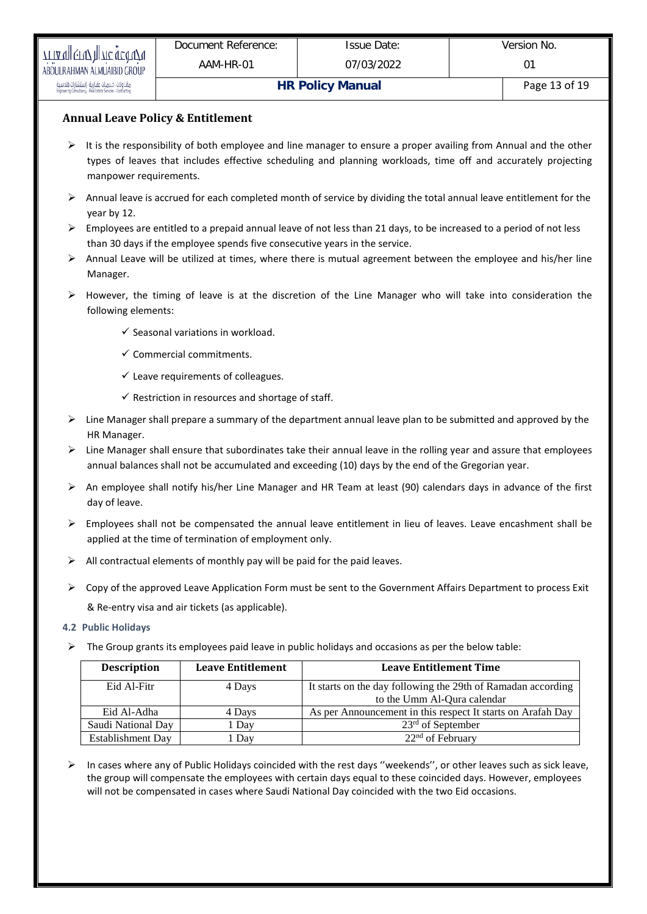# **Annual Leave Policy & Entitlement**

- $\triangleright$  It is the responsibility of both employee and line manager to ensure a proper availing from Annual and the other types of leaves that includes effective scheduling and planning workloads, time off and accurately projecting manpower requirements.
- $\triangleright$  Annual leave is accrued for each completed month of service by dividing the total annual leave entitlement for the year by 12.
- $\triangleright$  Employees are entitled to a prepaid annual leave of not less than 21 days, to be increased to a period of not less than 30 days if the employee spends five consecutive years in the service.
- $\triangleright$  Annual Leave will be utilized at times, where there is mutual agreement between the employee and his/her line Manager.
- $\triangleright$  However, the timing of leave is at the discretion of the Line Manager who will take into consideration the following elements:
	- $\checkmark$  Seasonal variations in workload.
	- $\checkmark$  Commercial commitments.
	- $\checkmark$  Leave requirements of colleagues.
	- $\checkmark$  Restriction in resources and shortage of staff.
- $\triangleright$  Line Manager shall prepare a summary of the department annual leave plan to be submitted and approved by the HR Manager.
- $\triangleright$  Line Manager shall ensure that subordinates take their annual leave in the rolling year and assure that employees annual balances shall not be accumulated and exceeding (10) days by the end of the Gregorian year.
- $\triangleright$  An employee shall notify his/her Line Manager and HR Team at least (90) calendars days in advance of the first day of leave.
- $\triangleright$  Employees shall not be compensated the annual leave entitlement in lieu of leaves. Leave encashment shall be applied at the time of termination of employment only.
- $\triangleright$  All contractual elements of monthly pay will be paid for the paid leaves.
- $\triangleright$  Copy of the approved Leave Application Form must be sent to the Government Affairs Department to process Exit & Re-entry visa and air tickets (as applicable).
- **4.2 Public Holidays**
- $\triangleright$  The Group grants its employees paid leave in public holidays and occasions as per the below table:

| <b>Description</b> | <b>Leave Entitlement</b> | <b>Leave Entitlement Time</b>                                |
|--------------------|--------------------------|--------------------------------------------------------------|
| Eid Al-Fitr        | 4 Days                   | It starts on the day following the 29th of Ramadan according |
|                    |                          | to the Umm Al-Qura calendar                                  |
| Eid Al-Adha        | 4 Days                   | As per Announcement in this respect It starts on Arafah Day  |
| Saudi National Day | . Day                    | $23rd$ of September                                          |
| Establishment Day  | Dav.                     | $22nd$ of February                                           |

 In cases where any of Public Holidays coincided with the rest days ''weekends'', or other leaves such as sick leave, the group will compensate the employees with certain days equal to these coincided days. However, employees will not be compensated in cases where Saudi National Day coincided with the two Eid occasions.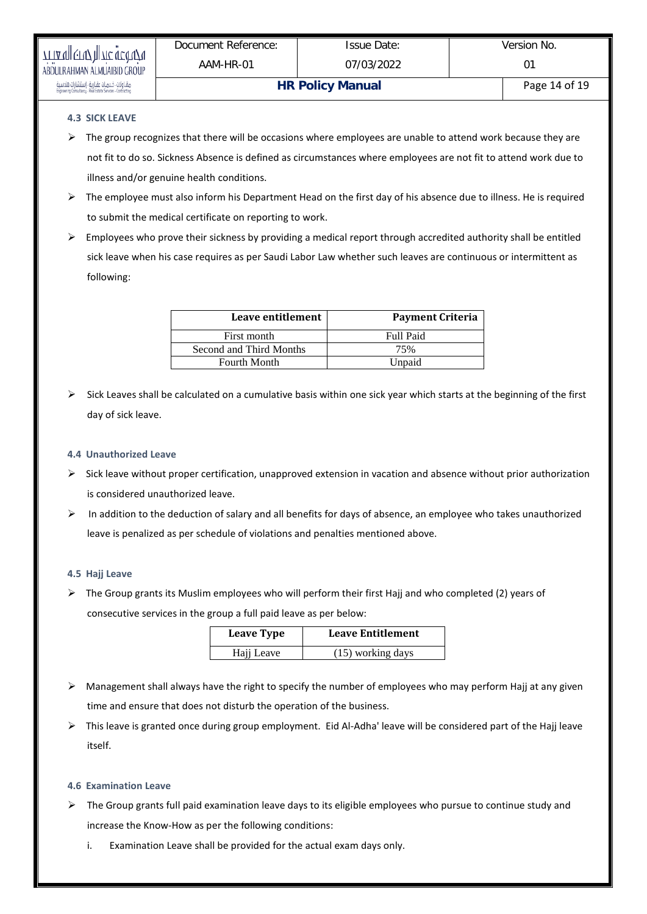# **4.3 SICK LEAVE**

- $\triangleright$  The group recognizes that there will be occasions where employees are unable to attend work because they are not fit to do so. Sickness Absence is defined as circumstances where employees are not fit to attend work due to illness and/or genuine health conditions.
- $\triangleright$  The employee must also inform his Department Head on the first day of his absence due to illness. He is required to submit the medical certificate on reporting to work.
- $\triangleright$  Employees who prove their sickness by providing a medical report through accredited authority shall be entitled sick leave when his case requires as per Saudi Labor Law whether such leaves are continuous or intermittent as following:

| Leave entitlement       | <b>Payment Criteria</b> |
|-------------------------|-------------------------|
| First month             | <b>Full Paid</b>        |
| Second and Third Months | 75%                     |
| <b>Fourth Month</b>     | Unpaid                  |

 Sick Leaves shall be calculated on a cumulative basis within one sick year which starts at the beginning of the first day of sick leave.

# **4.4 Unauthorized Leave**

- $\triangleright$  Sick leave without proper certification, unapproved extension in vacation and absence without prior authorization is considered unauthorized leave.
- In addition to the deduction of salary and all benefits for days of absence, an employee who takes unauthorized leave is penalized as per schedule of violations and penalties mentioned above.

# **4.5 Hajj Leave**

 $\triangleright$  The Group grants its Muslim employees who will perform their first Hajj and who completed (2) years of consecutive services in the group a full paid leave as per below:

| <b>Leave Type</b> | <b>Leave Entitlement</b> |  |
|-------------------|--------------------------|--|
| Hajj Leave        | $(15)$ working days      |  |

- $\triangleright$  Management shall always have the right to specify the number of employees who may perform Hajj at any given time and ensure that does not disturb the operation of the business.
- $\triangleright$  This leave is granted once during group employment. Eid Al-Adha' leave will be considered part of the Hajj leave itself.

# **4.6 Examination Leave**

- $\triangleright$  The Group grants full paid examination leave days to its eligible employees who pursue to continue study and increase the Know-How as per the following conditions:
	- i. Examination Leave shall be provided for the actual exam days only.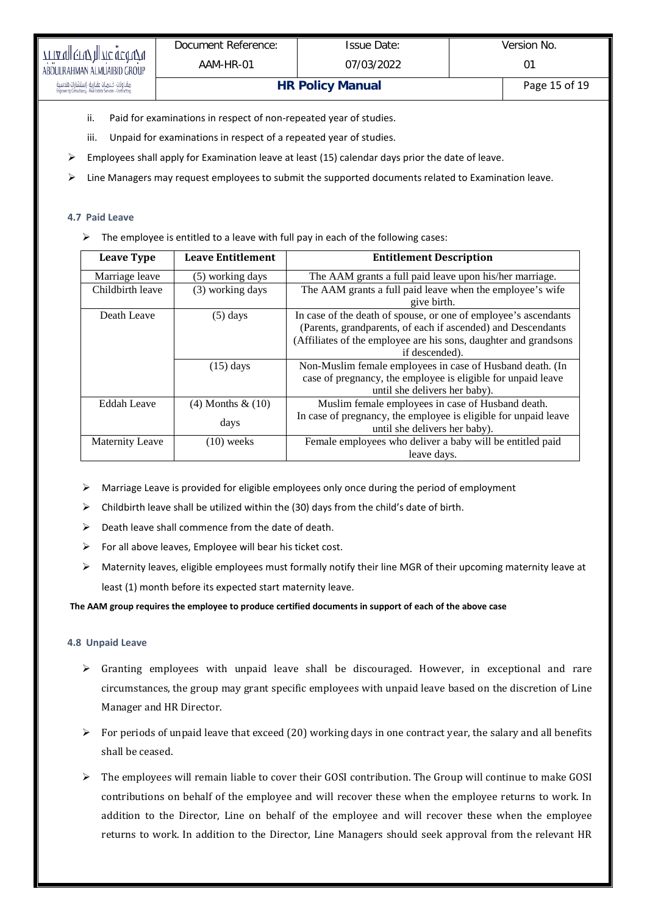- ii. Paid for examinations in respect of non-repeated year of studies.
- iii. Unpaid for examinations in respect of a repeated year of studies.
- Employees shall apply for Examination leave at least (15) calendar days prior the date of leave.
- $\triangleright$  Line Managers may request employees to submit the supported documents related to Examination leave.

#### **4.7 Paid Leave**

 $\triangleright$  The employee is entitled to a leave with full pay in each of the following cases:

| <b>Leave Type</b>      | <b>Leave Entitlement</b>      | <b>Entitlement Description</b>                                                                                                                                                                                        |  |  |
|------------------------|-------------------------------|-----------------------------------------------------------------------------------------------------------------------------------------------------------------------------------------------------------------------|--|--|
| Marriage leave         | (5) working days              | The AAM grants a full paid leave upon his/her marriage.                                                                                                                                                               |  |  |
| Childbirth leave       | (3) working days              | The AAM grants a full paid leave when the employee's wife<br>give birth.                                                                                                                                              |  |  |
| Death Leave            | $(5)$ days                    | In case of the death of spouse, or one of employee's ascendants<br>(Parents, grandparents, of each if ascended) and Descendants<br>(Affiliates of the employee are his sons, daughter and grandsons<br>if descended). |  |  |
|                        | $(15)$ days                   | Non-Muslim female employees in case of Husband death. (In<br>case of pregnancy, the employee is eligible for unpaid leave<br>until she delivers her baby).                                                            |  |  |
| Eddah Leave            | $(4)$ Months & $(10)$<br>days | Muslim female employees in case of Husband death.<br>In case of pregnancy, the employee is eligible for unpaid leave<br>until she delivers her baby).                                                                 |  |  |
| <b>Maternity Leave</b> | $(10)$ weeks                  | Female employees who deliver a baby will be entitled paid<br>leave days.                                                                                                                                              |  |  |

- $\triangleright$  Marriage Leave is provided for eligible employees only once during the period of employment
- $\triangleright$  Childbirth leave shall be utilized within the (30) days from the child's date of birth.
- $\triangleright$  Death leave shall commence from the date of death.
- $\triangleright$  For all above leaves, Employee will bear his ticket cost.
- Maternity leaves, eligible employees must formally notify their line MGR of their upcoming maternity leave at least (1) month before its expected start maternity leave.

**The AAM group requires the employee to produce certified documents in support of each of the above case**

# **4.8 Unpaid Leave**

- $\triangleright$  Granting employees with unpaid leave shall be discouraged. However, in exceptional and rare circumstances, the group may grant specific employees with unpaid leave based on the discretion of Line Manager and HR Director.
- $\triangleright$  For periods of unpaid leave that exceed (20) working days in one contract year, the salary and all benefits shall be ceased.
- $\triangleright$  The employees will remain liable to cover their GOSI contribution. The Group will continue to make GOSI contributions on behalf of the employee and will recover these when the employee returns to work. In addition to the Director, Line on behalf of the employee and will recover these when the employee returns to work. In addition to the Director, Line Managers should seek approval from the relevant HR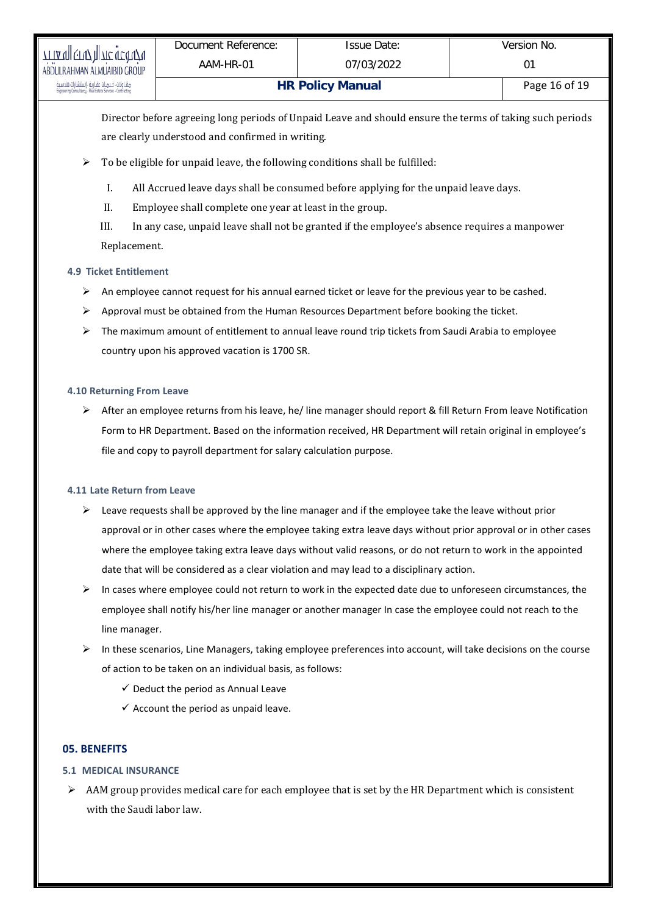Director before agreeing long periods of Unpaid Leave and should ensure the terms of taking such periods are clearly understood and confirmed in writing.

- $\triangleright$  To be eligible for unpaid leave, the following conditions shall be fulfilled:
	- I. All Accrued leave days shall be consumed before applying for the unpaid leave days.
	- II. Employee shall complete one year at least in the group.
	- III. In any case, unpaid leave shall not be granted if the employee's absence requires a manpower Replacement.

# **4.9 Ticket Entitlement**

- $\triangleright$  An employee cannot request for his annual earned ticket or leave for the previous year to be cashed.
- $\triangleright$  Approval must be obtained from the Human Resources Department before booking the ticket.
- $\triangleright$  The maximum amount of entitlement to annual leave round trip tickets from Saudi Arabia to employee country upon his approved vacation is 1700 SR.

# **4.10 Returning From Leave**

 $\triangleright$  After an employee returns from his leave, he/ line manager should report & fill Return From leave Notification Form to HR Department. Based on the information received, HR Department will retain original in employee's file and copy to payroll department for salary calculation purpose.

# **4.11 Late Return from Leave**

- $\triangleright$  Leave requests shall be approved by the line manager and if the employee take the leave without prior approval or in other cases where the employee taking extra leave days without prior approval or in other cases where the employee taking extra leave days without valid reasons, or do not return to work in the appointed date that will be considered as a clear violation and may lead to a disciplinary action.
- $\triangleright$  In cases where employee could not return to work in the expected date due to unforeseen circumstances, the employee shall notify his/her line manager or another manager In case the employee could not reach to the line manager.
- In these scenarios, Line Managers, taking employee preferences into account, will take decisions on the course of action to be taken on an individual basis, as follows:
	- $\checkmark$  Deduct the period as Annual Leave
	- $\checkmark$  Account the period as unpaid leave.

# **05. BENEFITS**

# **5.1 MEDICAL INSURANCE**

 $\triangleright$  AAM group provides medical care for each employee that is set by the HR Department which is consistent with the Saudi labor law.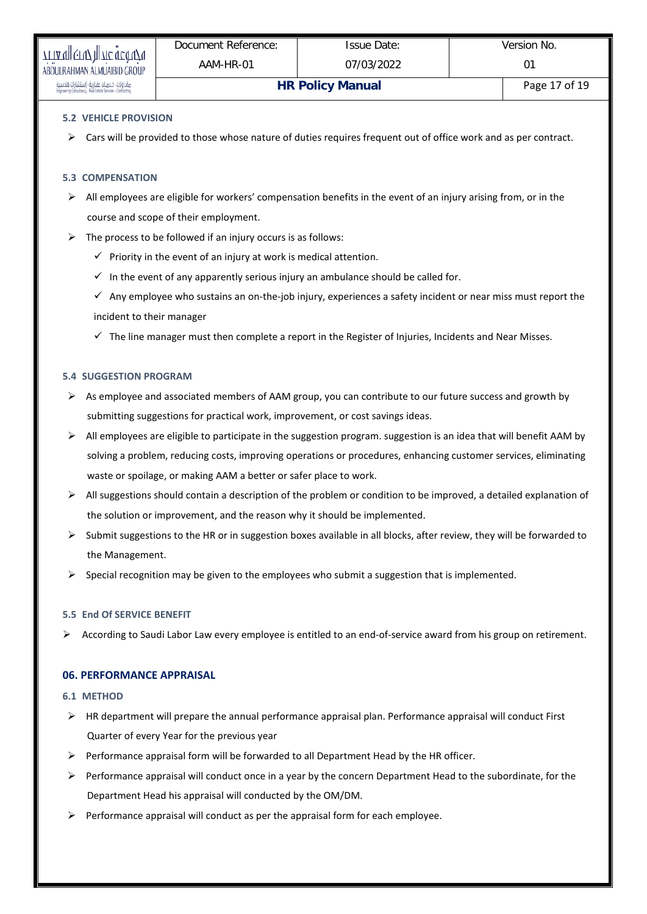# **5.2 VEHICLE PROVISION**

 $\triangleright$  Cars will be provided to those whose nature of duties requires frequent out of office work and as per contract.

#### **5.3 COMPENSATION**

- $\triangleright$  All employees are eligible for workers' compensation benefits in the event of an injury arising from, or in the course and scope of their employment.
- $\triangleright$  The process to be followed if an injury occurs is as follows:
	- $\checkmark$  Priority in the event of an injury at work is medical attention.
	- $\checkmark$  In the event of any apparently serious injury an ambulance should be called for.
	- $\checkmark$  Any employee who sustains an on-the-job injury, experiences a safety incident or near miss must report the incident to their manager
	- $\checkmark$  The line manager must then complete a report in the Register of Injuries, Incidents and Near Misses.

#### **5.4 SUGGESTION PROGRAM**

- $\triangleright$  As employee and associated members of AAM group, you can contribute to our future success and growth by submitting suggestions for practical work, improvement, or cost savings ideas.
- $\triangleright$  All employees are eligible to participate in the suggestion program. suggestion is an idea that will benefit AAM by solving a problem, reducing costs, improving operations or procedures, enhancing customer services, eliminating waste or spoilage, or making AAM a better or safer place to work.
- $\triangleright$  All suggestions should contain a description of the problem or condition to be improved, a detailed explanation of the solution or improvement, and the reason why it should be implemented.
- $\triangleright$  Submit suggestions to the HR or in suggestion boxes available in all blocks, after review, they will be forwarded to the Management.
- Special recognition may be given to the employees who submit a suggestion that is implemented.

#### **5.5 End Of SERVICE BENEFIT**

According to Saudi Labor Law every employee is entitled to an end-of-service award from his group on retirement.

# **06. PERFORMANCE APPRAISAL**

#### **6.1 METHOD**

- $\triangleright$  HR department will prepare the annual performance appraisal plan. Performance appraisal will conduct First Quarter of every Year for the previous year
- $\triangleright$  Performance appraisal form will be forwarded to all Department Head by the HR officer.
- $\triangleright$  Performance appraisal will conduct once in a year by the concern Department Head to the subordinate, for the Department Head his appraisal will conducted by the OM/DM.
- $\triangleright$  Performance appraisal will conduct as per the appraisal form for each employee.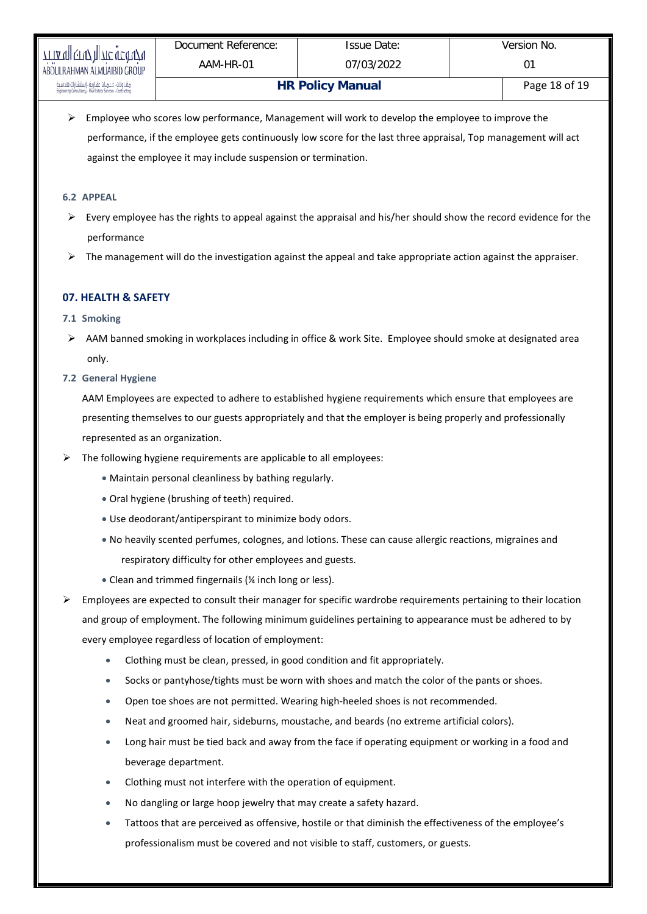$\triangleright$  Employee who scores low performance, Management will work to develop the employee to improve the performance, if the employee gets continuously low score for the last three appraisal, Top management will act against the employee it may include suspension or termination.

# **6.2 APPEAL**

- $\triangleright$  Every employee has the rights to appeal against the appraisal and his/her should show the record evidence for the performance
- $\triangleright$  The management will do the investigation against the appeal and take appropriate action against the appraiser.

# **07. HEALTH & SAFETY**

# **7.1 Smoking**

 AAM banned smoking in workplaces including in office & work Site. Employee should smoke at designated area only.

# **7.2 General Hygiene**

AAM Employees are expected to adhere to established hygiene requirements which ensure that employees are presenting themselves to our guests appropriately and that the employer is being properly and professionally represented as an organization.

- $\triangleright$  The following hygiene requirements are applicable to all employees:
	- Maintain personal cleanliness by bathing regularly.
	- Oral hygiene (brushing of teeth) required.
	- Use deodorant/antiperspirant to minimize body odors.
	- No heavily scented perfumes, colognes, and lotions. These can cause allergic reactions, migraines and respiratory difficulty for other employees and guests.
	- Clean and trimmed fingernails (¼ inch long or less).
- $\triangleright$  Employees are expected to consult their manager for specific wardrobe requirements pertaining to their location and group of employment. The following minimum guidelines pertaining to appearance must be adhered to by every employee regardless of location of employment:
	- Clothing must be clean, pressed, in good condition and fit appropriately.
	- Socks or pantyhose/tights must be worn with shoes and match the color of the pants or shoes.
	- Open toe shoes are not permitted. Wearing high-heeled shoes is not recommended.
	- Neat and groomed hair, sideburns, moustache, and beards (no extreme artificial colors).
	- Long hair must be tied back and away from the face if operating equipment or working in a food and beverage department.
	- Clothing must not interfere with the operation of equipment.
	- No dangling or large hoop jewelry that may create a safety hazard.
	- Tattoos that are perceived as offensive, hostile or that diminish the effectiveness of the employee's professionalism must be covered and not visible to staff, customers, or guests.